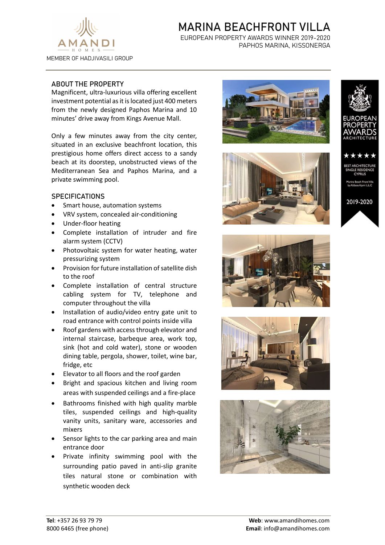

# MARINA BEACHFRONT VILLA

EUROPEAN PROPERTY AWARDS WINNER 2019-2020 PAPHOS MARINA, KISSONERGA

# ABOUT THE PROPERTY

Magnificent, ultra-luxurious villa offering excellent investment potential as it is located just 400 meters from the newly designed Paphos Marina and 10 minutes' drive away from Kings Avenue Mall.

Only a few minutes away from the city center, situated in an exclusive beachfront location, this prestigious home offers direct access to a sandy beach at its doorstep, unobstructed views of the Mediterranean Sea and Paphos Marina, and a private swimming pool.

### **SPECIFICATIONS**

- Smart house, automation systems
- VRV system, concealed air-conditioning
- Under-floor heating
- Complete installation of intruder and fire alarm system (CCTV)
- Photovoltaic system for water heating, water pressurizing system
- Provision for future installation of satellite dish to the roof
- Complete installation of central structure cabling system for TV, telephone and computer throughout the villa
- Installation of audio/video entry gate unit to road entrance with control points inside villa
- Roof gardens with access through elevator and internal staircase, barbeque area, work top, sink (hot and cold water), stone or wooden dining table, pergola, shower, toilet, wine bar, fridge, etc
- Elevator to all floors and the roof garden
- Bright and spacious kitchen and living room areas with suspended ceilings and a fire-place
- Bathrooms finished with high quality marble tiles, suspended ceilings and high-quality vanity units, sanitary ware, accessories and mixers
- Sensor lights to the car parking area and main entrance door
- Private infinity swimming pool with the surrounding patio paved in anti-slip granite tiles natural stone or combination with synthetic wooden deck









2019-2020